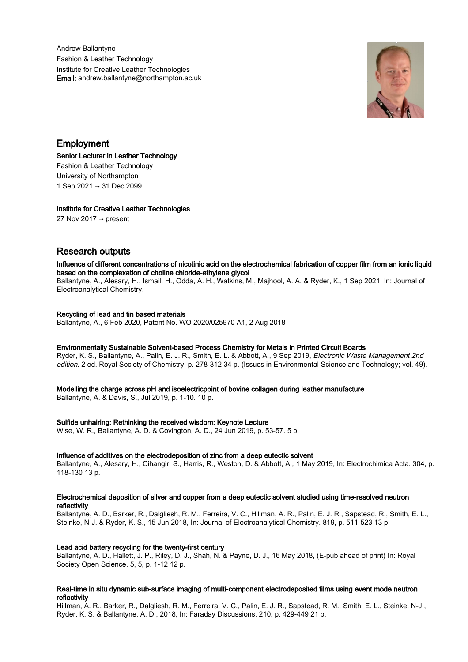Andrew Ballantyne Fashion & Leather Technology Institute for Creative Leather Technologies Email: andrew.ballantyne@northampton.ac.uk



Employment

Senior Lecturer in Leather Technology Fashion & Leather Technology University of Northampton 1 Sep 2021 → 31 Dec 2099

# Institute for Creative Leather Technologies

27 Nov 2017  $\rightarrow$  present

# Research outputs

Influence of different concentrations of nicotinic acid on the electrochemical fabrication of copper film from an ionic liquid based on the complexation of choline chloride-ethylene glycol

Ballantyne, A., Alesary, H., Ismail, H., Odda, A. H., Watkins, M., Majhool, A. A. & Ryder, K., 1 Sep 2021, In: Journal of Electroanalytical Chemistry.

# Recycling of lead and tin based materials

Ballantyne, A., 6 Feb 2020, Patent No. WO 2020/025970 A1, 2 Aug 2018

### Environmentally Sustainable Solvent-based Process Chemistry for Metals in Printed Circuit Boards

Ryder, K. S., Ballantyne, A., Palin, E. J. R., Smith, E. L. & Abbott, A., 9 Sep 2019, Electronic Waste Management 2nd edition. 2 ed. Royal Society of Chemistry, p. 278-312 34 p. (Issues in Environmental Science and Technology; vol. 49).

#### Modelling the charge across pH and isoelectricpoint of bovine collagen during leather manufacture

Ballantyne, A. & Davis, S., Jul 2019, p. 1-10. 10 p.

# Sulfide unhairing: Rethinking the received wisdom: Keynote Lecture

Wise, W. R., Ballantyne, A. D. & Covington, A. D., 24 Jun 2019, p. 53-57. 5 p.

# Influence of additives on the electrodeposition of zinc from a deep eutectic solvent

Ballantyne, A., Alesary, H., Cihangir, S., Harris, R., Weston, D. & Abbott, A., 1 May 2019, In: Electrochimica Acta. 304, p. 118-130 13 p.

#### Electrochemical deposition of silver and copper from a deep eutectic solvent studied using time-resolved neutron reflectivity

Ballantyne, A. D., Barker, R., Dalgliesh, R. M., Ferreira, V. C., Hillman, A. R., Palin, E. J. R., Sapstead, R., Smith, E. L., Steinke, N-J. & Ryder, K. S., 15 Jun 2018, In: Journal of Electroanalytical Chemistry. 819, p. 511-523 13 p.

# Lead acid battery recycling for the twenty-first century

Ballantyne, A. D., Hallett, J. P., Riley, D. J., Shah, N. & Payne, D. J., 16 May 2018, (E-pub ahead of print) In: Royal Society Open Science. 5, 5, p. 1-12 12 p.

### Real-time in situ dynamic sub-surface imaging of multi-component electrodeposited films using event mode neutron reflectivity

Hillman, A. R., Barker, R., Dalgliesh, R. M., Ferreira, V. C., Palin, E. J. R., Sapstead, R. M., Smith, E. L., Steinke, N-J., Ryder, K. S. & Ballantyne, A. D., 2018, In: Faraday Discussions. 210, p. 429-449 21 p.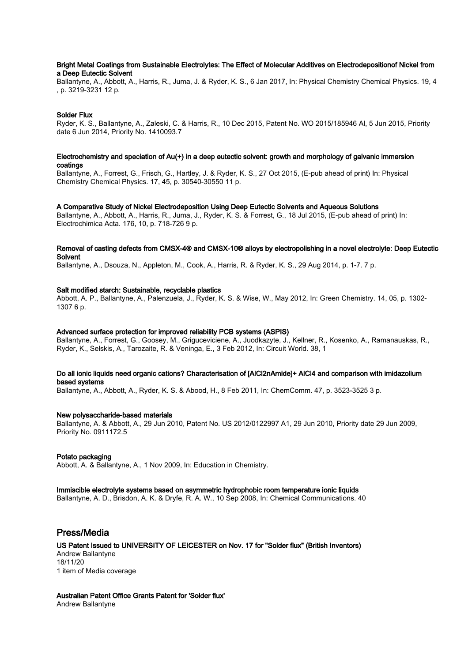# Bright Metal Coatings from Sustainable Electrolytes: The Effect of Molecular Additives on Electrodepositionof Nickel from a Deep Eutectic Solvent

Ballantyne, A., Abbott, A., Harris, R., Juma, J. & Ryder, K. S., 6 Jan 2017, In: Physical Chemistry Chemical Physics. 19, 4 , p. 3219-3231 12 p.

### Solder Flux

Ryder, K. S., Ballantyne, A., Zaleski, C. & Harris, R., 10 Dec 2015, Patent No. WO 2015/185946 Al, 5 Jun 2015, Priority date 6 Jun 2014, Priority No. 1410093.7

#### Electrochemistry and speciation of Au(+) in a deep eutectic solvent: growth and morphology of galvanic immersion coatings

Ballantyne, A., Forrest, G., Frisch, G., Hartley, J. & Ryder, K. S., 27 Oct 2015, (E-pub ahead of print) In: Physical Chemistry Chemical Physics. 17, 45, p. 30540-30550 11 p.

#### A Comparative Study of Nickel Electrodeposition Using Deep Eutectic Solvents and Aqueous Solutions

Ballantyne, A., Abbott, A., Harris, R., Juma, J., Ryder, K. S. & Forrest, G., 18 Jul 2015, (E-pub ahead of print) In: Electrochimica Acta. 176, 10, p. 718-726 9 p.

# Removal of casting defects from CMSX-4® and CMSX-10® alloys by electropolishing in a novel electrolyte: Deep Eutectic **Solvent**

Ballantyne, A., Dsouza, N., Appleton, M., Cook, A., Harris, R. & Ryder, K. S., 29 Aug 2014, p. 1-7. 7 p.

#### Salt modified starch: Sustainable, recyclable plastics

Abbott, A. P., Ballantyne, A., Palenzuela, J., Ryder, K. S. & Wise, W., May 2012, In: Green Chemistry. 14, 05, p. 1302- 1307 6 p.

#### Advanced surface protection for improved reliability PCB systems (ASPIS)

Ballantyne, A., Forrest, G., Goosey, M., Griguceviciene, A., Juodkazyte, J., Kellner, R., Kosenko, A., Ramanauskas, R., Ryder, K., Selskis, A., Tarozaite, R. & Veninga, E., 3 Feb 2012, In: Circuit World. 38, 1

# Do all ionic liquids need organic cations? Characterisation of [AlCl2nAmide]+ AlCl4 and comparison with imidazolium based systems

Ballantyne, A., Abbott, A., Ryder, K. S. & Abood, H., 8 Feb 2011, In: ChemComm. 47, p. 3523-3525 3 p.

#### New polysaccharide-based materials

Ballantyne, A. & Abbott, A., 29 Jun 2010, Patent No. US 2012/0122997 A1, 29 Jun 2010, Priority date 29 Jun 2009, Priority No. 0911172.5

#### Potato packaging

Abbott, A. & Ballantyne, A., 1 Nov 2009, In: Education in Chemistry.

#### Immiscible electrolyte systems based on asymmetric hydrophobic room temperature ionic liquids

Ballantyne, A. D., Brisdon, A. K. & Dryfe, R. A. W., 10 Sep 2008, In: Chemical Communications. 40

# Press/Media

US Patent Issued to UNIVERSITY OF LEICESTER on Nov. 17 for "Solder flux" (British Inventors) Andrew Ballantyne 18/11/20 1 item of Media coverage

Australian Patent Office Grants Patent for 'Solder flux' Andrew Ballantyne